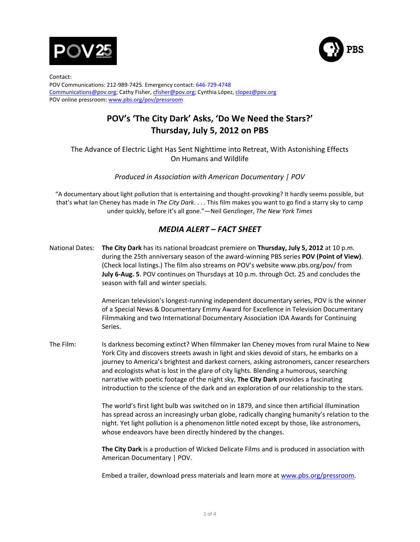



Contact: POV Communications: 212-989-7425. Emergency contact: 646-729-4748 Communications@pov.org; Cathy Fisher, cfisher@pov.org; Cynthia López, clopez@pov.org POV online pressroom: www.pbs.org/pov/pressroom

## POV's 'The City Dark' Asks, 'Do We Need the Stars?' **Thursday, July 5, 2012 on PBS**

## The Advance of Electric Light Has Sent Nighttime into Retreat, With Astonishing Effects On Humans and Wildlife

*Produced in Association with American Documentary | POV* 

"A documentary about light pollution that is entertaining and thought-provoking? It hardly seems possible, but that's what Ian Cheney has made in The City Dark. . . . This film makes you want to go find a starry sky to camp under quickly, before it's all gone."—Neil Genzlinger, The New York Times

## *MEDIA!ALERT!–!FACT!SHEET*

National Dates: The City Dark has its national broadcast premiere on Thursday, July 5, 2012 at 10 p.m. during the 25th anniversary season of the award-winning PBS series POV (Point of View). (Check local listings.) The film also streams on POV's website www.pbs.org/pov/ from **July 6-Aug. 5**. POV continues on Thursdays at 10 p.m. through Oct. 25 and concludes the season with fall and winter specials.

> American television's longest-running independent documentary series, POV is the winner of a Special News & Documentary Emmy Award for Excellence in Television Documentary Filmmaking and two International Documentary Association IDA Awards for Continuing Series.

The Film: Is darkness becoming extinct? When filmmaker Ian Cheney moves from rural Maine to New York City and discovers streets awash in light and skies devoid of stars, he embarks on a journey to America's brightest and darkest corners, asking astronomers, cancer researchers and ecologists what is lost in the glare of city lights. Blending a humorous, searching narrative with poetic footage of the night sky, The City Dark provides a fascinating introduction to the science of the dark and an exploration of our relationship to the stars.

> The world's first light bulb was switched on in 1879, and since then artificial illumination has spread across an increasingly urban globe, radically changing humanity's relation to the night. Yet light pollution is a phenomenon little noted except by those, like astronomers, whose endeavors have been directly hindered by the changes.

**The City Dark** is a production of Wicked Delicate Films and is produced in association with American Documentary | POV.

Embed a trailer, download press materials and learn more at www.pbs.org/pressroom.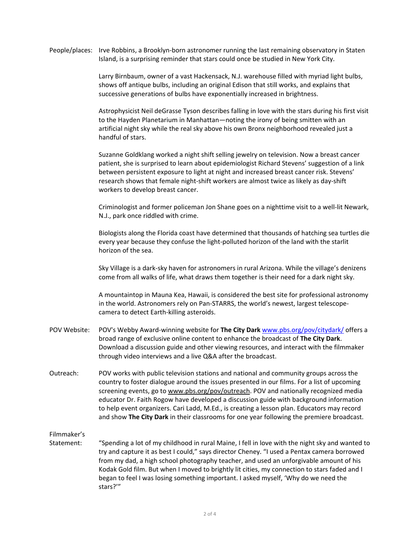People/places: Irve Robbins, a Brooklyn-born astronomer running the last remaining observatory in Staten Island, is a surprising reminder that stars could once be studied in New York City.

> Larry Birnbaum, owner of a vast Hackensack, N.J. warehouse filled with myriad light bulbs, shows off antique bulbs, including an original Edison that still works, and explains that successive generations of bulbs have exponentially increased in brightness.

Astrophysicist Neil deGrasse Tyson describes falling in love with the stars during his first visit to the Hayden Planetarium in Manhattan—noting the irony of being smitten with an artificial night sky while the real sky above his own Bronx neighborhood revealed just a handful of stars.

Suzanne Goldklang worked a night shift selling jewelry on television. Now a breast cancer patient, she is surprised to learn about epidemiologist Richard Stevens' suggestion of a link between persistent exposure to light at night and increased breast cancer risk. Stevens' research shows that female night-shift workers are almost twice as likely as day-shift workers to develop breast cancer.

Criminologist and former policeman Jon Shane goes on a nighttime visit to a well-lit Newark, N.J., park once riddled with crime.

Biologists along the Florida coast have determined that thousands of hatching sea turtles die every year because they confuse the light-polluted horizon of the land with the starlit horizon of the sea.

Sky Village is a dark-sky haven for astronomers in rural Arizona. While the village's denizens come from all walks of life, what draws them together is their need for a dark night sky.

A mountaintop in Mauna Kea, Hawaii, is considered the best site for professional astronomy in the world. Astronomers rely on Pan-STARRS, the world's newest, largest telescopecamera to detect Earth-killing asteroids.

- POV Website: POV's Webby Award-winning website for **The City Dark** www.pbs.org/pov/citydark/ offers a broad range of exclusive online content to enhance the broadcast of The City Dark. Download a discussion guide and other viewing resources, and interact with the filmmaker through video interviews and a live Q&A after the broadcast.
- Outreach: POV works with public television stations and national and community groups across the country to foster dialogue around the issues presented in our films. For a list of upcoming screening events, go to www.pbs.org/pov/outreach. POV and nationally recognized media educator Dr. Faith Rogow have developed a discussion guide with background information to help event organizers. Cari Ladd, M.Ed., is creating a lesson plan. Educators may record and show **The City Dark** in their classrooms for one year following the premiere broadcast.

Filmmaker's

Statement: "Spending a lot of my childhood in rural Maine, I fell in love with the night sky and wanted to try and capture it as best I could," says director Cheney. "I used a Pentax camera borrowed from my dad, a high school photography teacher, and used an unforgivable amount of his Kodak Gold film. But when I moved to brightly lit cities, my connection to stars faded and I began to feel I was losing something important. I asked myself, 'Why do we need the stars?'"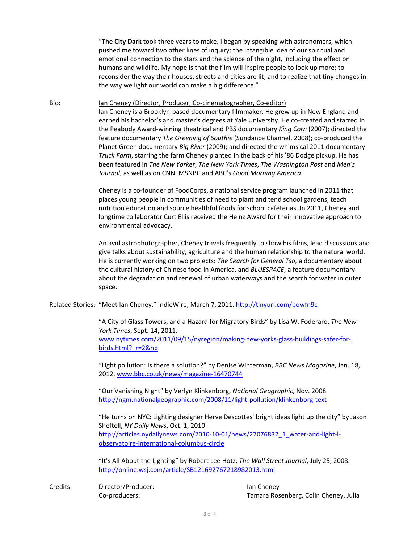"The City Dark took three years to make. I began by speaking with astronomers, which pushed me toward two other lines of inquiry: the intangible idea of our spiritual and emotional connection to the stars and the science of the night, including the effect on humans and wildlife. My hope is that the film will inspire people to look up more; to reconsider the way their houses, streets and cities are lit; and to realize that tiny changes in the way we light our world can make a big difference."

Bio: Ian Cheney (Director, Producer, Co-cinematographer, Co-editor)

Ian Cheney is a Brooklyn-based documentary filmmaker. He grew up in New England and earned his bachelor's and master's degrees at Yale University. He co-created and starred in the Peabody Award-winning theatrical and PBS documentary *King Corn* (2007); directed the feature documentary The Greening of Southie (Sundance Channel, 2008); co-produced the Planet Green documentary *Big River* (2009); and directed the whimsical 2011 documentary *Truck Farm*, starring the farm Cheney planted in the back of his '86 Dodge pickup. He has been"featured"in"*The(New(Yorker*,"*The(New(York(Times*,"*The(Washington(Post*"and"*Men's(* Journal, as well as on CNN, MSNBC and ABC's Good Morning America.

Cheney is a co-founder of FoodCorps, a national service program launched in 2011 that places young people in communities of need to plant and tend school gardens, teach nutrition education and source healthful foods for school cafeterias. In 2011, Cheney and longtime collaborator Curt Ellis received the Heinz Award for their innovative approach to environmental advocacy.

An avid astrophotographer, Cheney travels frequently to show his films, lead discussions and give talks about sustainability, agriculture and the human relationship to the natural world. He is currently working on two projects: The Search for General Tso, a documentary about the cultural history of Chinese food in America, and *BLUESPACE*, a feature documentary about the degradation and renewal of urban waterways and the search for water in outer space.

Related Stories: "Meet Ian Cheney," IndieWire, March 7, 2011. http://tinyurl.com/bowfn9c

"A City of Glass Towers, and a Hazard for Migratory Birds" by Lisa W. Foderaro, *The New York Times*, Sept. 14, 2011. www.nytimes.com/2011/09/15/nyregion/making-new-yorks-glass-buildings-safer-forbirds.html? r=2&hp

"Light pollution: Is there a solution?" by Denise Winterman, BBC News Magazine, Jan. 18, 2012. www.bbc.co.uk/news/magazine-16470744

"Our Vanishing Night" by Verlyn Klinkenborg, *National Geographic*, Nov. 2008. http://ngm.nationalgeographic.com/2008/11/light-pollution/klinkenborg-text

"He turns on NYC: Lighting designer Herve Descottes' bright ideas light up the city" by Jason Sheftell, NY Daily News, Oct. 1, 2010. http://articles.nydailynews.com/2010-10-01/news/27076832\_1\_water-and-light-lobservatoire-international-columbus-circle

"It's All About the Lighting" by Robert Lee Hotz, The Wall Street Journal, July 25, 2008. http://online.wsj.com/article/SB121692767218982013.html

Credits: Director/Producer: Ian Cheney

Co-producers: Tamara Rosenberg, Colin Cheney, Julia